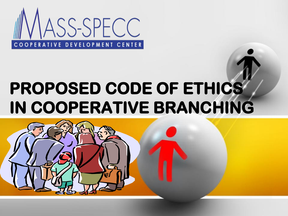

### **PROPOSED CODE OF ETHICS IN COOPERATIVE BRANCHING**

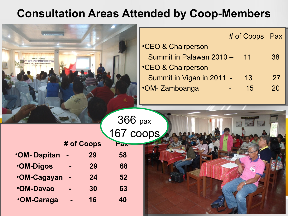#### **Consultation Areas Attended by Coop-Members**

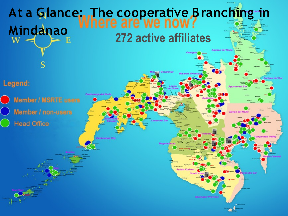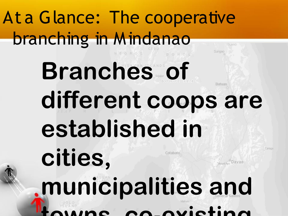## At a Glance: The cooperative branching in Mindanao

## **Branches of** Butuan **different coops are established in**

Cotabato.

**cities, municipalities and towns, co-existing**

Caraga

*Pavac*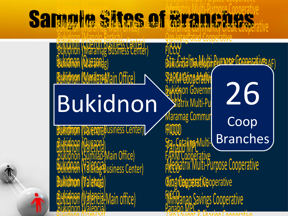#### Sample Very Site of Branches of Branches BUKI NOOL FILARIA LADIO HILARIA BUKING BILARIA FILARIA FI Buchidan (Maramag) Mediatrix Multi-Purpose Cooperative Cooperative Cooperative Cooperative Cooperative Cooperative Cooperative Cooperative Cooperative Cooperative Cooperative Cooperative Cooperative Cooperative Cooperative Bukidnon (Maramag-Main Office) Maramag Community Credit Cooperative

 $\mathcal{B}$ ukidnon (Malaybalay) Mediatrix Multi-Purpose Cooperative

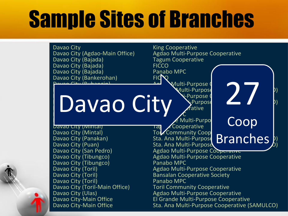## Sample Sites of Branches

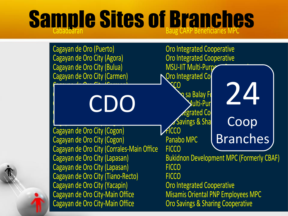# **Sample Sites of Branches**

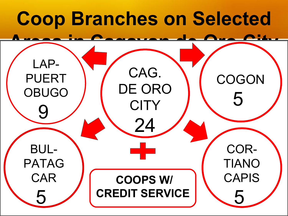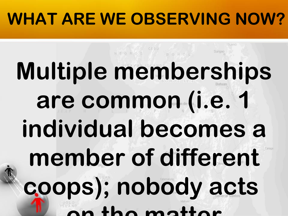# **Multiple memberships are common (i.e. 1 individual becomes a member of different coops); nobody acts on the matter**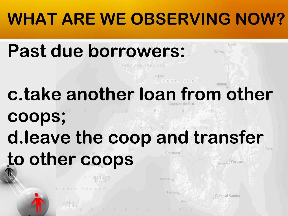### **Past due borrowers:**

VISAYAN ISLANDS

 $B$  O HOL SEA

### **c.take another loan from other**

P  $|p\rangle$ **coops; d.leave the coop and transfer** 

**\*lack of systemic verification,** 

**to other coops**

Cotabato

Mount Apo Davao

**ISLAND** 

Surigao

**Butuan** 

Palimbang

General Santos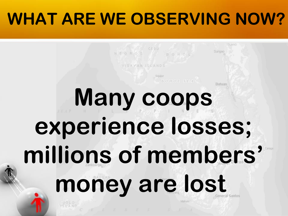#### **ISLAND** NEGROS CEBU BOHOL Surigao VISAYAN ISLANDS  $B$  OHOL SEA **Butuan Many coops experience losses; millions of members'**  money are lost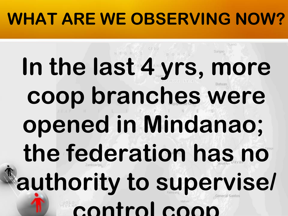# **In the last 4 yrs, more coop branches were opened in Mindanao; the federation has no authority to supervise/ control coop**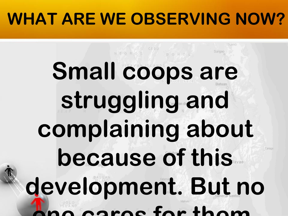CEBU

## **Small coops are struggling and complaining about because of this**  Caraga **development. But no one cares for them.**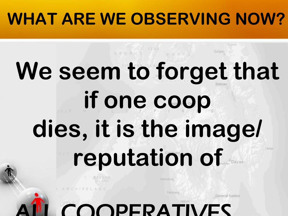CEBU

### BOHO **We seem to forget that if one coop dies, it is the image/ reputation of** Caraga

PERA

Palimbang

General Santos

SLAND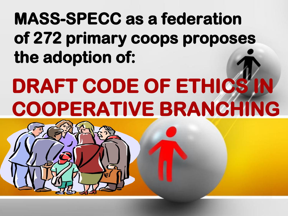#### **MASS-SPECC as a federation of 272 primary coops proposes the adoption of:**

## **DRAFT CODE OF ETHICS IN COOPERATIVE BRANCHING**

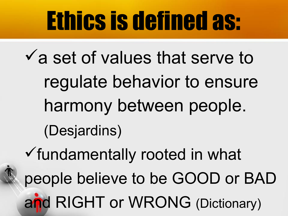# Ethics is defined as:

 $\checkmark$  a set of values that serve to regulate behavior to ensure harmony between people. (Desjardins) fundamentally rooted in what

people believe to be GOOD or BAD and RIGHT or WRONG (Dictionary)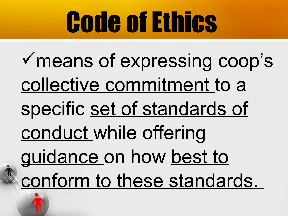# **Code of Ethics**

means of expressing coop's collective commitment to a specific set of standards of conduct while offering guidance on how best to conform to these standards.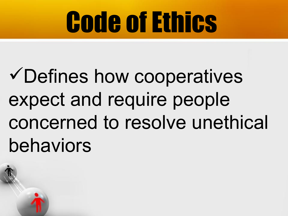# Code of Ethics

## Defines how cooperatives expect and require people concerned to resolve unethical behaviors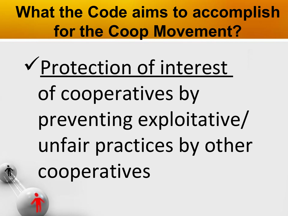**What the Code aims to accomplish for the Coop Movement?**

Protection of interest of cooperatives by preventing exploitative/ unfair practices by other cooperatives

l.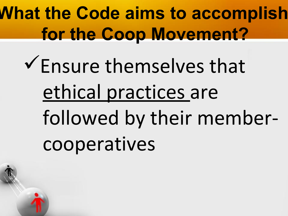**What the Code aims to accomplish for the Coop Movement?**

Ensure themselves that ethical practices are followed by their member cooperatives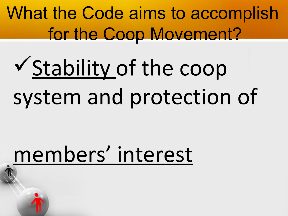What the Code aims to accomplish for the Coop Movement?

# Stability of the coop system and protection of

## members' interest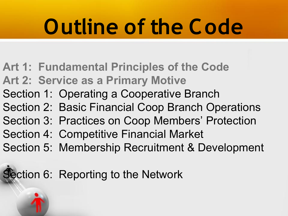- **[Art 1: Fundamental Principles of the Code](E:\Code of Ethics in Branching Presentation\Ethics on Branching PPT by Articles OM Feb 23, 2013 MTRC\Article 1- Principles.ppt) [Art 2: Service as a Primary Motive](E:\Code of Ethics in Branching Presentation\Ethics on Branching PPT by Articles OM Feb 23, 2013 MTRC\Article 2- Service as a Primary Motive.ppt)** Section 1: Operating a Cooperative Branch Section 2: Basic Financial Coop Branch Operations Section 3: Practices on Coop Members' Protection Section 4: Competitive Financial Market Section 5: Membership Recruitment & Development
- ection 6: Reporting to the Network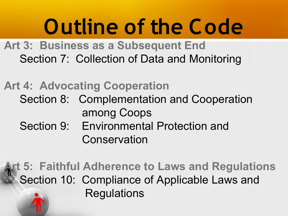**[Art 3: Business as a Subsequent End](E:\Code of Ethics in Branching Presentation\Ethics on Branching PPT by Articles OM Feb 23, 2013 MTRC\Article 3- Business as a Subsequent End.ppt)** Section 7: Collection of Data and Monitoring

#### **[Art 4: Advocating Cooperation](E:\Code of Ethics in Branching Presentation\Ethics on Branching PPT by Articles OM Feb 23, 2013 MTRC\Article 4- Advocating Cooperation.ppt)**

- Section 8: Complementation and Cooperation among Coops
- Section 9: Environmental Protection and Conservation

#### **[Art 5: Faithful Adherence to Laws and Regulations](E:\Code of Ethics in Branching Presentation\Ethics on Branching PPT by Articles OM Feb 23, 2013 MTRC\Article 5- Faithful Adherence to Laws and Regulations.ppt)** Section 10: Compliance of Applicable Laws and **Regulations**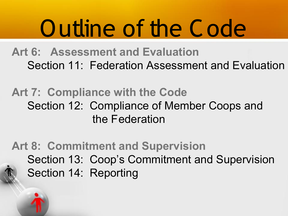**[Art 6: Assessment and Evaluation](E:\Code of Ethics in Branching Presentation\Ethics on Branching PPT by Articles OM Feb 23, 2013 MTRC\Article 6-Assessment and evaluation.ppt)** Section 11: Federation Assessment and Evaluation

#### **[Art 7: Compliance with the Code](E:\Code of Ethics in Branching Presentation\Ethics on Branching PPT by Articles OM Feb 23, 2013 MTRC\Article 7- Compliance with the Code.ppt)** Section 12: Compliance of Member Coops and the Federation

#### **[Art 8: Commitment and Supervision](E:\Code of Ethics in Branching Presentation\Ethics on Branching PPT by Articles OM Feb 23, 2013 MTRC\Article 8- Commitment and Supervision.ppt)** Section 13: Coop's Commitment and Supervision Section 14: Reporting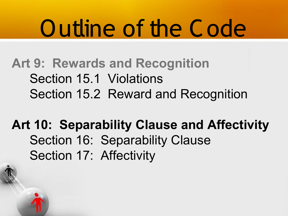#### **[Art 9: Rewards and Recognition](E:\Code of Ethics in Branching Presentation\Ethics on Branching PPT by Articles OM Feb 23, 2013 MTRC\Article 9- Recognition and Rewards.ppt)** Section 15.1 Violations Section 15.2 Reward and Recognition

#### **Art 10: Separability Clause and Affectivity** Section 16: Separability Clause Section 17: Affectivity